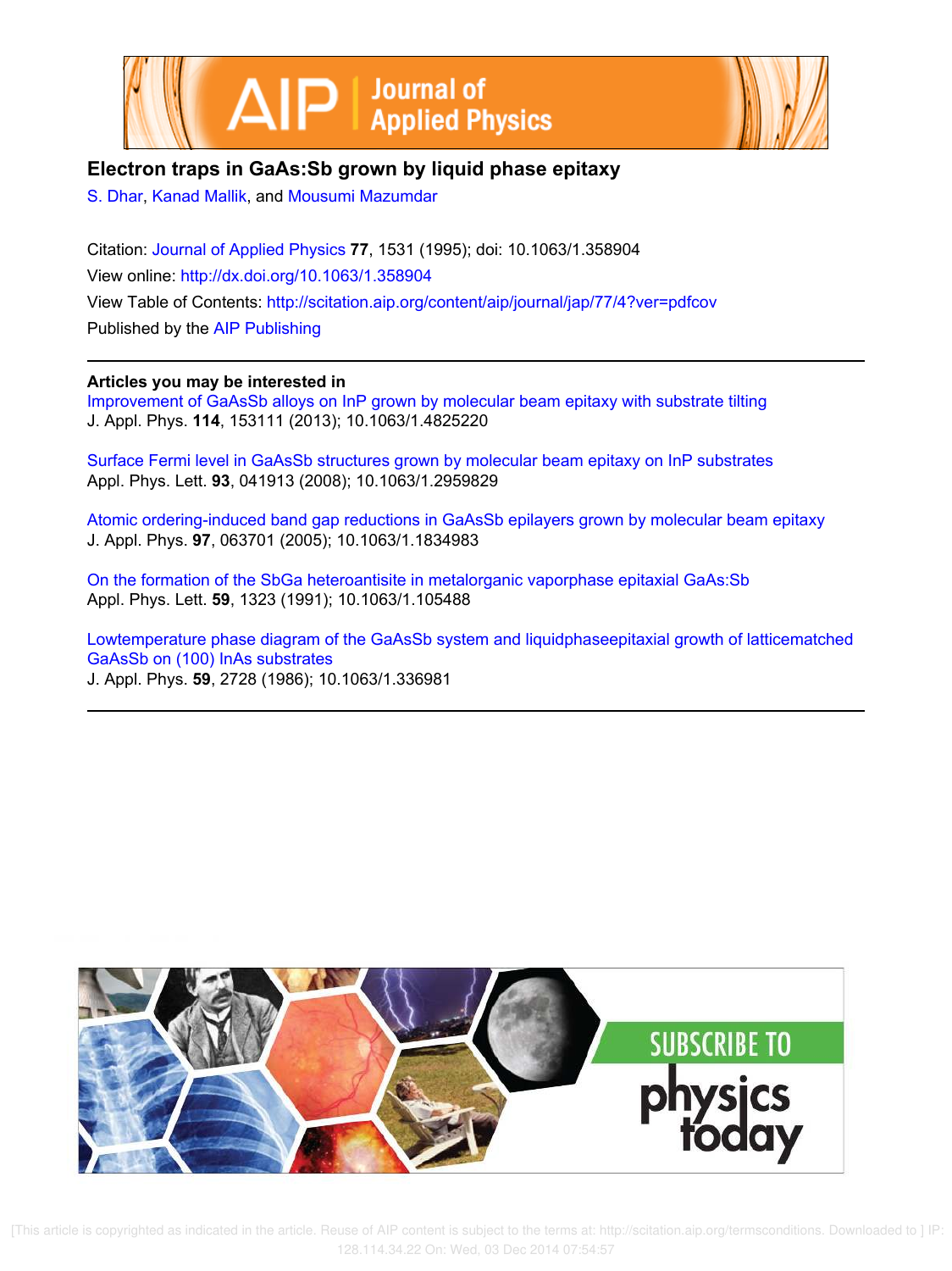



# **Electron traps in GaAs:Sb grown by liquid phase epitaxy**

S. Dhar, Kanad Mallik, and Mousumi Mazumdar

Citation: Journal of Applied Physics **77**, 1531 (1995); doi: 10.1063/1.358904 View online: http://dx.doi.org/10.1063/1.358904 View Table of Contents: http://scitation.aip.org/content/aip/journal/jap/77/4?ver=pdfcov Published by the AIP Publishing

# **Articles you may be interested in**

Improvement of GaAsSb alloys on InP grown by molecular beam epitaxy with substrate tilting J. Appl. Phys. **114**, 153111 (2013); 10.1063/1.4825220

Surface Fermi level in GaAsSb structures grown by molecular beam epitaxy on InP substrates Appl. Phys. Lett. **93**, 041913 (2008); 10.1063/1.2959829

Atomic ordering-induced band gap reductions in GaAsSb epilayers grown by molecular beam epitaxy J. Appl. Phys. **97**, 063701 (2005); 10.1063/1.1834983

On the formation of the SbGa heteroantisite in metalorganic vaporphase epitaxial GaAs:Sb Appl. Phys. Lett. **59**, 1323 (1991); 10.1063/1.105488

Lowtemperature phase diagram of the GaAsSb system and liquidphaseepitaxial growth of latticematched GaAsSb on (100) InAs substrates J. Appl. Phys. **59**, 2728 (1986); 10.1063/1.336981



 [This article is copyrighted as indicated in the article. Reuse of AIP content is subject to the terms at: http://scitation.aip.org/termsconditions. Downloaded to ] IP: 128.114.34.22 On: Wed, 03 Dec 2014 07:54:57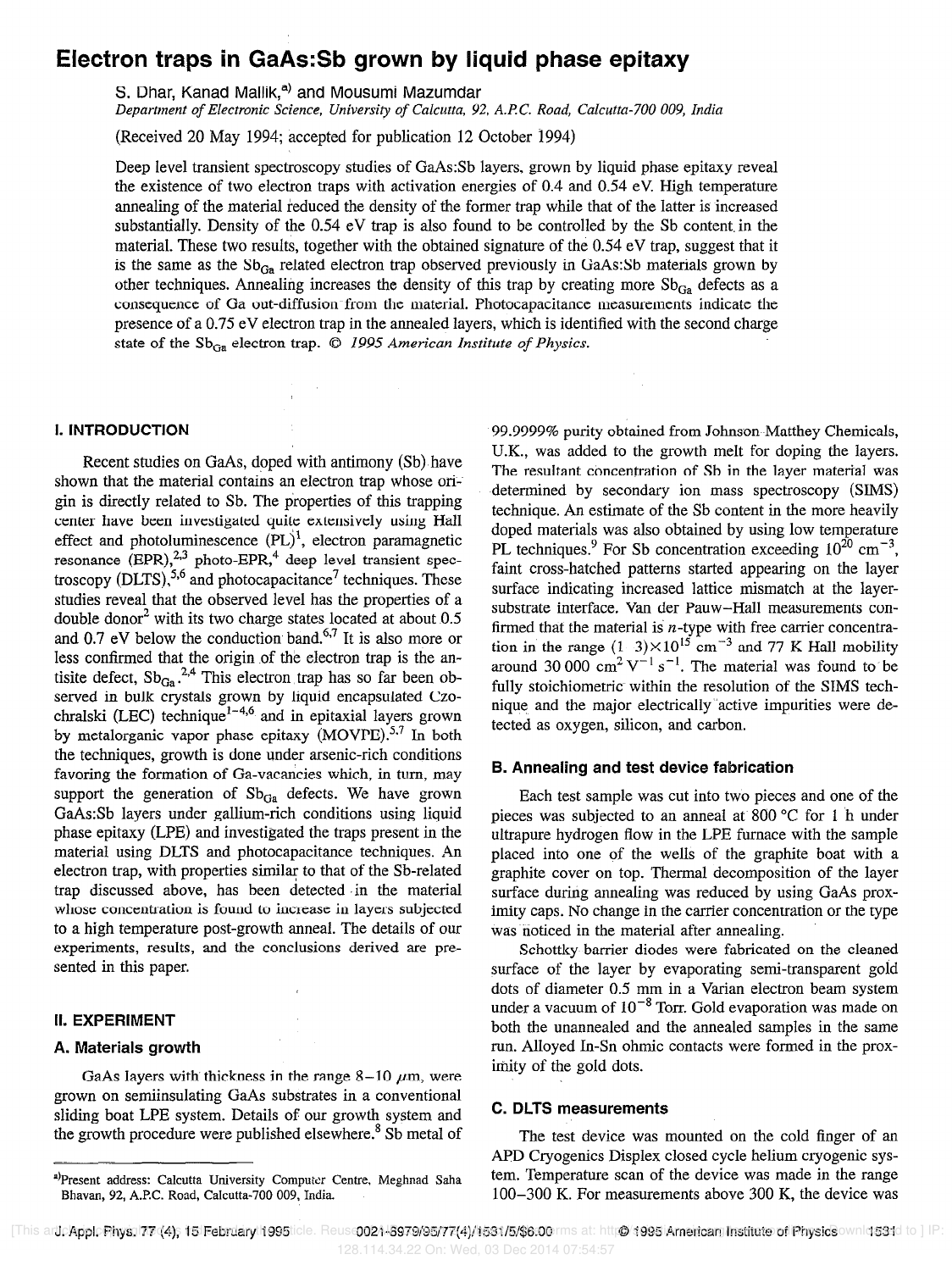# Electron traps in GaAs: Sb grown by liquid phase epitaxy

S. Dhar, Kanad Mallik,<sup>a)</sup> and Mousumi Mazumdar

Department of Electronic Science, University of Calcutta, 92, ARC. Road, Calcutta-700 009, India

(Received 20 May 1994; accepted for publication 12 October 1994)

Deep level transient spectroscopy studies of GaAs:Sb layers, grown by liquid phase epitaxy reveal the existence of two electron traps with activation energies of 0.4 and 0.54 eV. High temperature annealing of the material reduced the density of the former trap while that of the latter is increased substantially. Density of the 0.54 eV trap is also found to be controlled by the Sb content in the material. These two results, together with the obtained signature of the 0.54 eV trap, suggest that it is the same as the  $Sb_{Ga}$  related electron trap observed previously in GaAs:Sb materials grown by other techniques. Annealing increases the density of this trap by creating more  $Sb_{Ga}$  defects as a consequence of Ga out-diffusion from the material. Photocapacitance measurements indicate the presence of a 0.75 eV electron trap in the annealed layers, which is identified with the second charge state of the  $Sb_{Ga}$  electron trap.  $\odot$  1995 American Institute of Physics.

### 1. INTRODUCTION

Recent studies on GaAs, doped with antimony (Sb) have shown that the material contains an electron trap whose origin is directly related to Sb. The properties of this trapping center have been investigated quite extensively using Hall effect and photoluminescence  $(PL)^1$ , electron paramagnetic resonance  $EPR$ ,  $^{2,3}$  photo-EPR,  $^{4}$  deep level transient spectroscopy (DLTS),  $5,6$  and photocapacitance<sup>7</sup> techniques. These studies reveal that the observed level has the properties of a double donor<sup>2</sup> with its two charge states located at about 0.5 and 0.7 eV below the conduction band.<sup>6,7</sup> It is also more or less confirmed that the origin of the electron trap is the antisite defect,  $Sb_{Ga}^{2,4}$  This electron trap has so far been observed in bulk crystals grown by liquid encapsulated Czochralski (LEC) technique<sup>1-4,6</sup> and in epitaxial layers grown by metalorganic vapor phase epitaxy  $(MOVPE)$ .<sup>5,7</sup> In both the techniques, growth is done under arsenic-rich conditions favoring the formation of Ga-vacancies which, in turn, may support the generation of  $Sb_{Ga}$  defects. We have grown GaAs:Sb layers under gallium-rich conditions using liquid phase epitaxy (LPE) and investigated the traps present in the material using DLTS and photocapacitance techniques. An electron trap, with properties similar to that of the Sb-related trap discussed above, has been detected .in the material whose concentration is found to increase in layers subjected to a high temperature post-growth anneal. The details of our experiments, results, and the conclusions derived are presented in this paper.

## II. EXPERIMENT

## A. Materials growth

GaAs layers with thickness in the range  $8-10 \mu m$ , were grown on semiinsulating GaAs substrates in a conventional sliding boat LPE system. Details of our growth system and the growth procedure were published elsewhere.<sup>8</sup> Sb metal of 99.9999% purity obtained from Johnson-Matthey Chemicals, U.K., was added to the growth melt for doping the layers. The resultant concentration of Sb in the layer material was determined by secondary ion mass spectroscopy (SIMS) technique. An estimate of the Sb content in the more heavily doped materials was also obtained by using low temperature PL techniques.<sup>9</sup> For Sb concentration exceeding  $10^{20}$  cm<sup>-3</sup>. faint cross-hatched patterns started appearing on the layer surface indicating increased lattice mismatch at the layersubstrate interface. Van der Pauw-Hall measurements confirmed that the material is  $n$ -type with free carrier concentration in the range  $(1-3)\times10^{15}$  cm<sup>-3</sup> and 77 K Hall mobility around 30 000 cm<sup>2</sup> V<sup>-1</sup> s<sup>-1</sup>. The material was found to be fully stoichiometric within the resolution of the SIMS technique and the major electrically 'active impurities were detected as oxygen, silicon, and carbon.

# B. Annealing and test device fabrication

Each test sample was cut into two pieces and one of the pieces was subjected to an anneal at 800 "C for 1 h under ultrapure hydrogen flow in the LPE furnace with the sample placed into one of the wells of the graphite boat with a graphite cover on top. Thermal decomposition of the layer surface during annealing was reduced by using GaAs proximity caps. No change in the carrier concentration or the type was noticed in the material after annealing.

Schottky-barrier diodes were fabricated on the cleaned surface of the layer by evaporating semi-transparent gold dots of diameter 0.5 mm in a Varian electron beam system under a vacuum of  $10^{-8}$  Torr. Gold evaporation was made on both the unannealed and the annealed samples in the same run. Alloyed In-Sn ohmic contacts were formed in the proximity of the gold dots.

## C. DLTS measurements

The test device was mounted on the cold finger of an APD Cryogenics Displex closed cycle helium cryogenic system. Temperature scan of the device was made in the range 100-300 K. For measurements above 300 K, the device was

a)Present address: Calcutta University Computer Centre, Meghnad Saha Bhavan, 92, A.P.C. Road, Calcutta-700 009, India.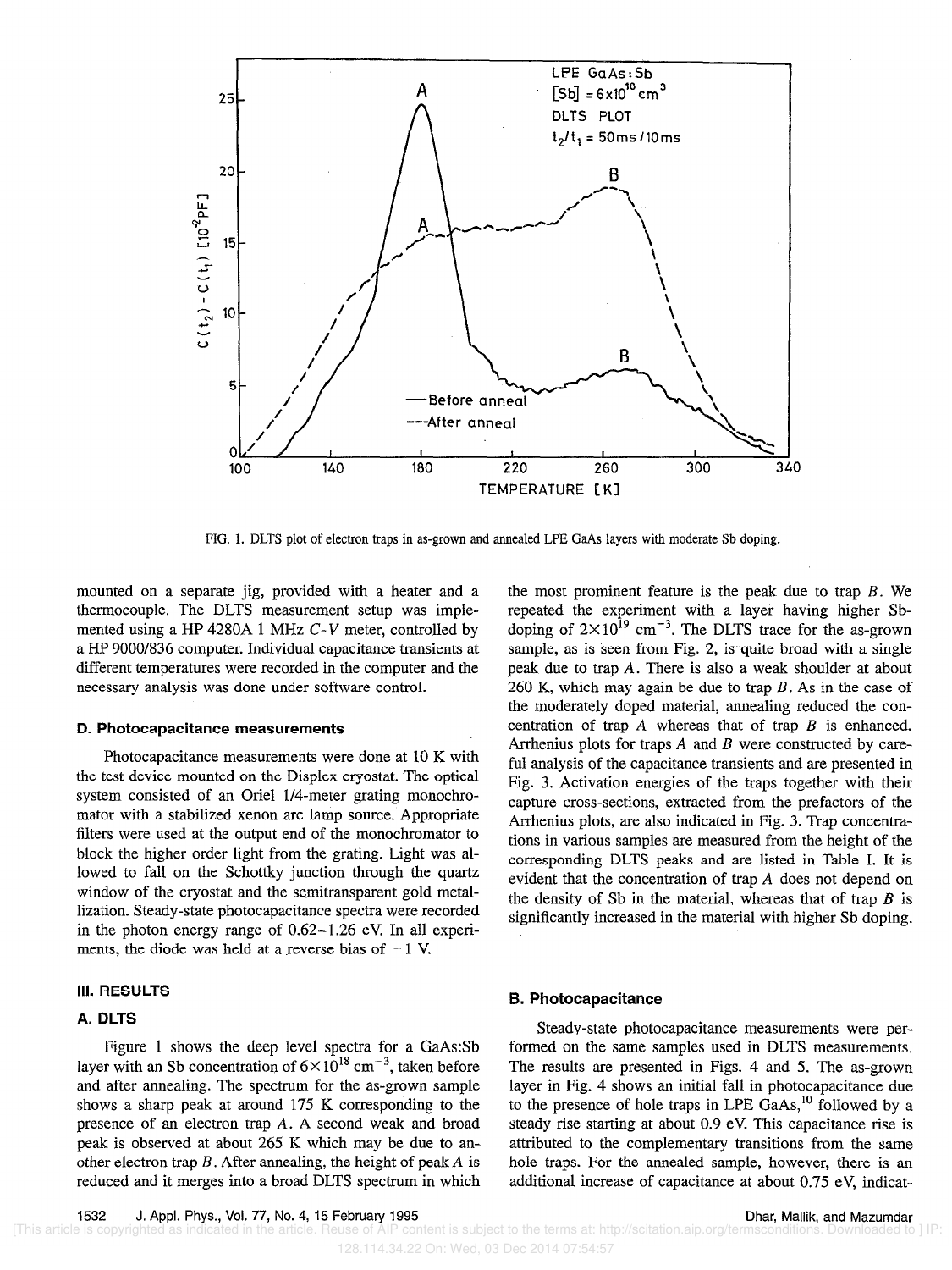

FIG. 1. DLTS plot of election traps in as-grown and annealed LPE GaAs layers with moderate Sb doping.

mounted on a separate jig, provided with a heater and a thermocouple. The DLTS measurement setup was implemented using a HP 4280A 1 MHz  $C-V$  meter, controlled by a HP 9000/836 computer. Individual capacitance transients at different temperatures were recorded in the computer and the necessary analysis was done under software control.

#### D. Photocapacitance measurements

Photocapacitance measurements were done at 10 K with the test device mounted on the Displex cryostat. The optical system consisted of an Oriel l/4-meter grating monochromator with a stabilized xenon arc lamp source. Appropriate filters were used at the output end of the monochromator to block the higher order light from the grating. Light was allowed to fall on the Schottky junction through the quartz window of the cryostat and the semitransparent gold metallization. Steady-state photocapacitance spectra were recorded in the photon energy range of  $0.62-1.26$  eV. In all experiments, the diode was held at a reverse bias of  $-1$  V.

# III. RESULTS

# A. DLTS

Figure 1 shows the deep level spectra for a GaAs:Sb layer with an Sb concentration of  $6 \times 10^{18}$  cm<sup>-3</sup>, taken before and after annealing. The spectrum for the as-grown sample shows a sharp peak at around 175 K corresponding to the presence of an electron trap A. A second weak and broad peak is observed at about 265 K which may be due to another electron trap  $B$ . After annealing, the height of peak  $A$  is reduced and it merges into a broad DLTS spectrum in which

the most prominent feature is the peak due to trap  $B$ . We repeated the experiment with a layer having higher Sbdoping of  $2 \times 10^{15}$  cm<sup>-3</sup>. The DLTS trace for the as-grown sample, as is seen from Fig. 2, is quite broad with a single peak due to trap A. There is also a weak shoulder at about 260 K, which may again be due to trap  $B$ . As in the case of the moderately doped material, annealing reduced the concentration of trap  $A$  whereas that of trap  $B$  is enhanced. Arrhenius plots for traps A and B were constructed by careful analysis of the capacitance transients and are presented in Fig. 3. Activation energies of the traps together with their capture cross-sections, extracted from the prefactors of the Arrhenius plots, are also indicated in Fig. 3. Trap concentrations in various samples are measured from the height of the corresponding DLTS peaks and are listed in Table 1. It is evident that the concentration of trap A does not depend on the density of Sb in the material, whereas that of trap  $B$  is significantly increased in the material with higher Sb doping.

## 6. Photocapacitance

Steady-state photocapacitance measurements were performed on the same samples used in DLTS measurements. The results are presented in Figs. 4 and 5. The as-grown layer in Fig. 4 shows an initial fall in photocapacitance due to the presence of hole traps in LPE GaAs,<sup>10</sup> followed by a steady rise starting at about 0.9 eV. This capacitance rise is attributed to the complementary transitions from the same hole traps. For the annealed sample, however, there is an additional increase of capacitance at about 0.75 eV, indicat-

128.114.34.22 On: Wed, 03 Dec 2014 07:54:57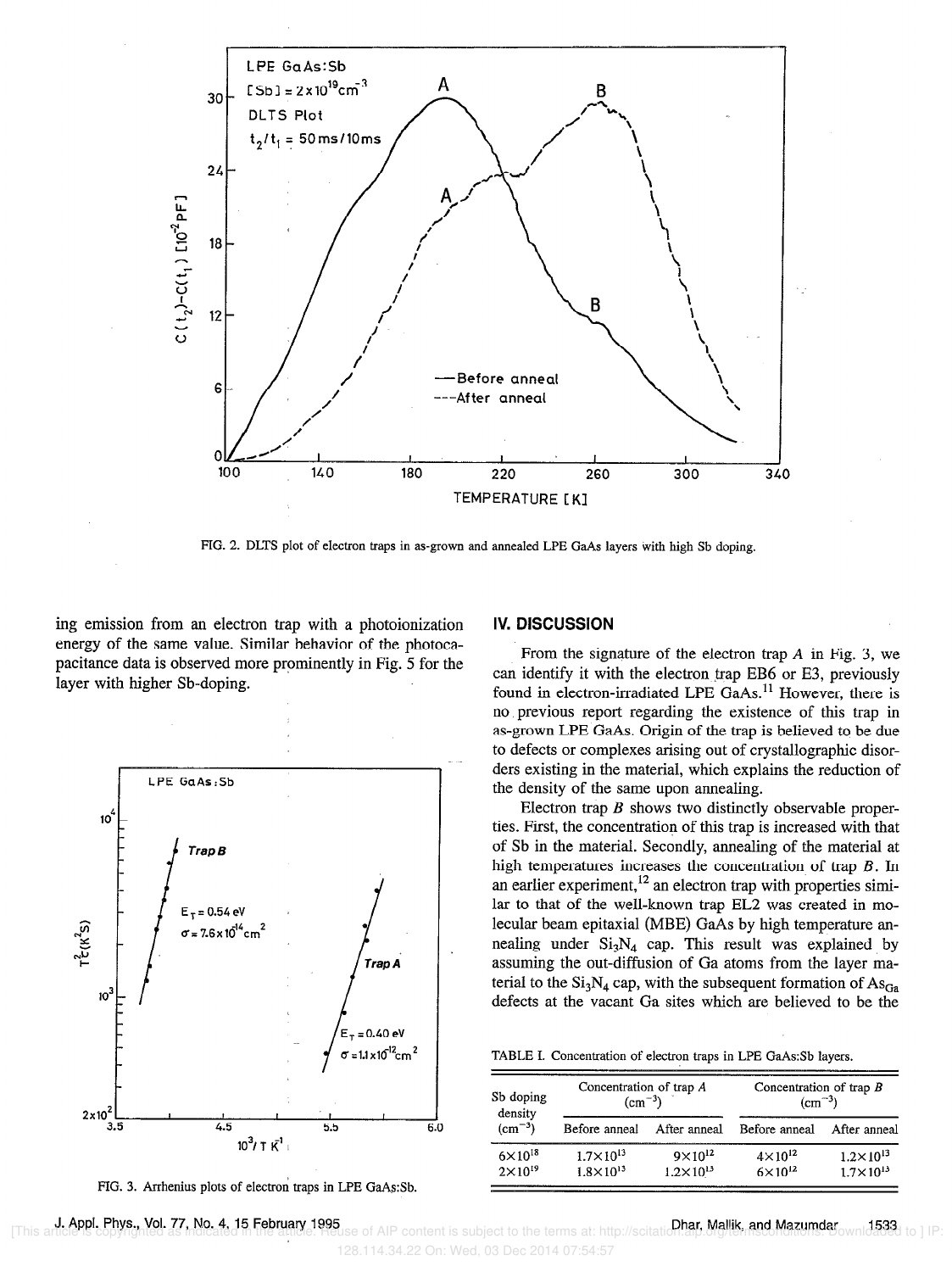

FIG. 2. DLTS plot of electron traps in as-grown and annealed LPE GaAs layers with high Sb doping.

ing emission from an electron trap with a photoionization energy of the same value. Similar behavior of the photocapacitance data is observed more prominently in Fig. 5 for the layer with higher Sb-doping.



FIG. 3. Arrhenius plots of electron traps in LPE GaAs:Sb.

## IV. DISCUSSION

From the signature of the electron trap  $A$  in Fig. 3, we can identify it with the electron trap EB6 or E3, previously found in electron-irradiated LPE GaAs.<sup>11</sup> However, there is no.previous report regarding the existence of this trap in as-grown LPE GaAs. Origin of the trap is believed to be due to defects or complexes arising out of crystallographic disorders existing in the material, which explains the reduction of the density of the same upon annealing.

Electron trap  $\hat{B}$  shows two distinctly observable properties. First, the concentratiop of this trap is increased with that of Sb in the material. Secondly, annealing of the material at high temperatures increases the concentration of trap  $B$ . In an earlier experiment,<sup>12</sup> an electron trap with properties similar to that of the well-known trap EL2 was created in molecular beam epitaxial (MBE) GaAs by high temperature annealing under  $Si_3N_4$  cap. This result was explained by assuming the out-diffusion of Ga atoms from the layer material to the  $Si<sub>3</sub>N<sub>4</sub>$  cap, with the subsequent formation of  $As<sub>Ga</sub>$ defects at the vacant Ga sites which are believed to be the

TABLE I. Concentration of electron traps in LPE GaAs:Sb layers.

| Sb doping<br>density<br>$\rm (cm^{-3})$ | Concentration of trap A<br>$\rm (cm^{-3})$   |                                            | Concentration of trap $B$<br>$\rm (cm^{-3})$ |                                              |
|-----------------------------------------|----------------------------------------------|--------------------------------------------|----------------------------------------------|----------------------------------------------|
|                                         | Before anneal                                | After anneal                               | Before anneal                                | After anneal                                 |
| $6 \times 10^{18}$<br>$2\times10^{19}$  | $1.7 \times 10^{13}$<br>$1.8 \times 10^{13}$ | $9 \times 10^{12}$<br>$1.2 \times 10^{13}$ | $4 \times 10^{12}$<br>$6 \times 10^{12}$     | $1.2 \times 10^{13}$<br>$1.7 \times 10^{13}$ |

J. Appl. Phys., Vol. 77, No. 4, 15 February 1995<br>Ticle is copyrighted as not at a 15 February 1995 128.114.34.22 On: Wed, 03 Dec 2014 07:54:57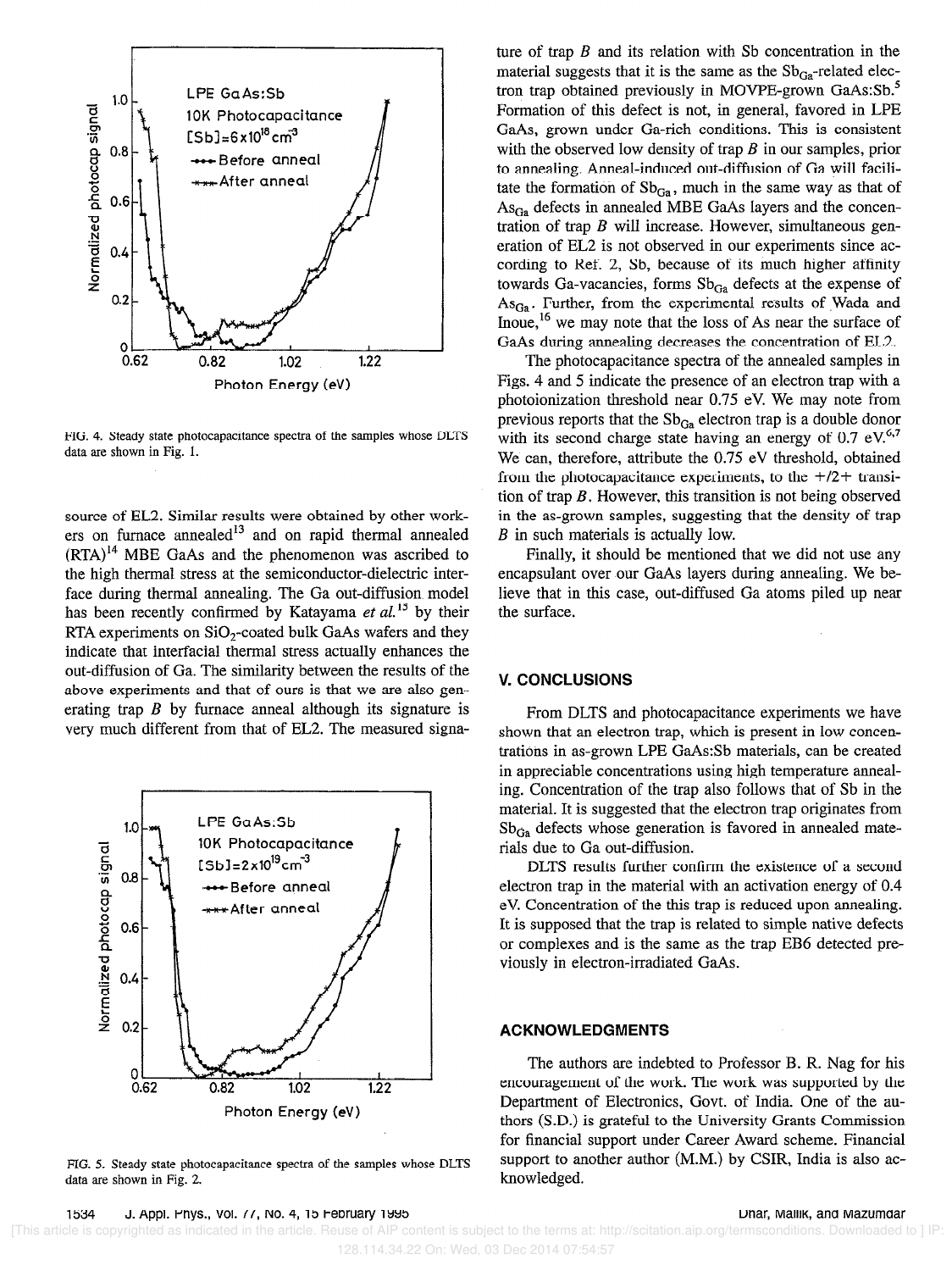

FIG. 4. Steady state photocapacitance spectra of the samples whose DLTS data are shown in Fig. 1.

source of EL2. Similar results were obtained by other work $e^{i\theta}$  and  $e^{i\theta}$  and on rapid thermal annealed  $(RTA)^{14}$  MBE GaAs and the phenomenon was ascribed to the high thermal stress at the semiconductor-dielectric interface during thermal annealing. The Ga out-diffusion model has been recently confirmed by Katayama et  $al$ <sup>15</sup> by their RTA experiments on SiO,-coated bulk GaAs wafers and they indicate that interfacial thermal stress actually enhances the out-diffusion of Ga. The similarity between the results of the above experiments and that of ours is that we are also generating trap  $B$  by furnace anneal although its signature is very much different from that of EL2. The measured signa-



FIG. 5. Steady state photocapacitance spectra of the samples whose DLTS data are shown in Fig. 2

ture of trap  $B$  and its relation with Sb concentration in the material suggests that it is the same as the  $Sb_{Ga}$ -related electron trap obtained previously in MOVPE-grown GaAs:Sb.<sup>5</sup> Formation of this defect is not, in general, favored in LPE GaAs, grown under Ga-rich conditions. This is consistent with the observed low density of trap  $B$  in our samples, prior to annealing. Anneal-induced out-diffusion of Ga will facilitate the formation of  $Sb_{Ga}$ , much in the same way as that of  $\text{As}_{\text{Ga}}$  defects in annealed MBE GaAs layers and the concentration of trap  $B$  will increase. However, simultaneous generation of EL2 is not observed in our experiments since according to Ref. 2, Sb, because of its much higher affinity towards Ga-vacancies, forms  $Sb_{Ga}$  defects at the expense of  $As_{Ga}$ . Further, from the experimental results of Wada and Inoue,  $16$  we may note that the loss of As near the surface of GaAs during annealing decreases the concentration of EL2.

The photocapacitance spectra of the annealed samples in Figs. 4 and 5 indicate the presence of an electron trap with a photoionization threshold near 0.75 eV. We may note from previous reports that the  $Sb_{Ga}$  electron trap is a double donor with its second charge state having an energy of  $0.7 \text{ eV}^{6,7}$ We can, therefore, attribute the 0.75 eV threshold, obtained from the photocapacitance experiments, to the  $f/2$ + transition of trap  $B$ . However, this transition is not being observed in the as-grown samples, suggesting that the density of trap  $B$  in such materials is actually low.

Finally, it should be mentioned that we did not use any encapsulant over our GaAs layers during annealing. We believe that in this case, out-diffused Ga atoms piled up near the surface.

# V. CONCLUSIONS

From DLTS and photocapacitance experiments we have shown that an electron trap, which is present in low concentrations in as-grown LPE GaAs:Sb materials, can be created in appreciable concentrations using high temperature annealing. Concentration of the trap also follows that of Sb in the material. It is suggested that the electron trap originates from  $Sb_{Ga}$  defects whose generation is favored in annealed materials due to Ga out-diffusion.

DLTS results further confirm the existence of a second electron trap in the material with an activation energy of 0.4 eV. Concentration of the this trap is reduced upon annealing. It is supposed that the trap is related to simple native defects or complexes and is the same as the trap EB6 detected previously in electron-irradiated GaAs.

# ACKNOWLEDGMENTS

The authors are indebted to Professor B. R. Nag for his encouragement of the work. The work was supported by the Department of Electronics, Govt. of India. One of the authors (S.D.) is grateful to the University Grants Commission for financial support under Career Award scheme. Financial support to another author (M.M.) by CSIR, India is also acknowledged.

**1534 J. Appl. Friys., vol. 77, NO. 4, 15 February 1993**<br>[This article is copyrighted as indicated in the article. Reuse of AIP content is subject to the terms at: http://scitation.aip.org/termsconditions. Downloaded to 128.114.34.22 On: Wed, 03 Dec 2014 07:54:57